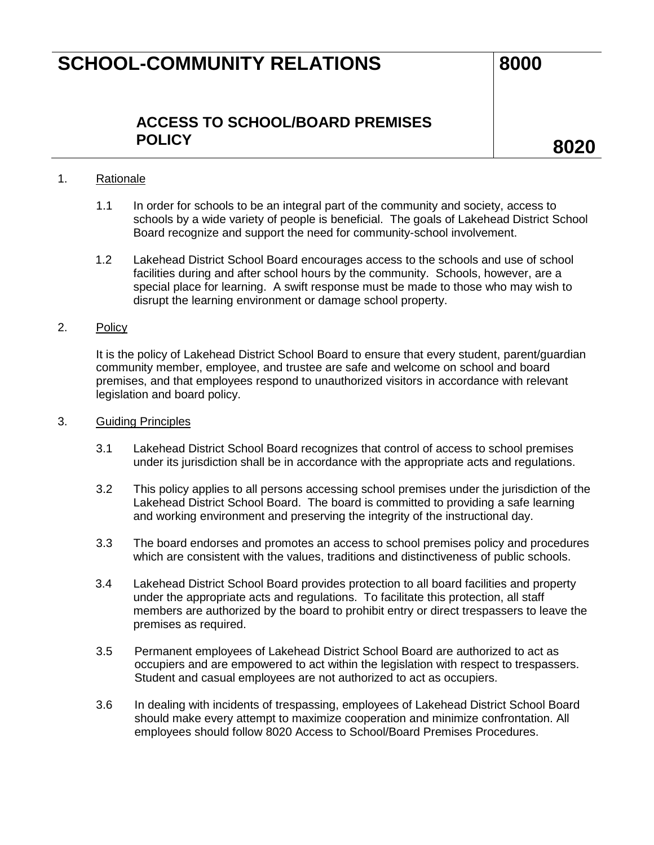## **SCHOOL-COMMUNITY RELATIONS 8000**

## **ACCESS TO SCHOOL/BOARD PREMISES POLICY 8020**

#### 1. Rationale

- 1.1 In order for schools to be an integral part of the community and society, access to schools by a wide variety of people is beneficial. The goals of Lakehead District School Board recognize and support the need for community-school involvement.
- 1.2 Lakehead District School Board encourages access to the schools and use of school facilities during and after school hours by the community. Schools, however, are a special place for learning. A swift response must be made to those who may wish to disrupt the learning environment or damage school property.

#### 2. Policy

It is the policy of Lakehead District School Board to ensure that every student, parent/guardian community member, employee, and trustee are safe and welcome on school and board premises, and that employees respond to unauthorized visitors in accordance with relevant legislation and board policy.

#### 3. Guiding Principles

- 3.1 Lakehead District School Board recognizes that control of access to school premises under its jurisdiction shall be in accordance with the appropriate acts and regulations.
- 3.2 This policy applies to all persons accessing school premises under the jurisdiction of the Lakehead District School Board. The board is committed to providing a safe learning and working environment and preserving the integrity of the instructional day.
- 3.3 The board endorses and promotes an access to school premises policy and procedures which are consistent with the values, traditions and distinctiveness of public schools.
- 3.4 Lakehead District School Board provides protection to all board facilities and property under the appropriate acts and regulations. To facilitate this protection, all staff members are authorized by the board to prohibit entry or direct trespassers to leave the premises as required.
- 3.5 Permanent employees of Lakehead District School Board are authorized to act as occupiers and are empowered to act within the legislation with respect to trespassers. Student and casual employees are not authorized to act as occupiers.
- 3.6 In dealing with incidents of trespassing, employees of Lakehead District School Board should make every attempt to maximize cooperation and minimize confrontation. All employees should follow 8020 Access to School/Board Premises Procedures.